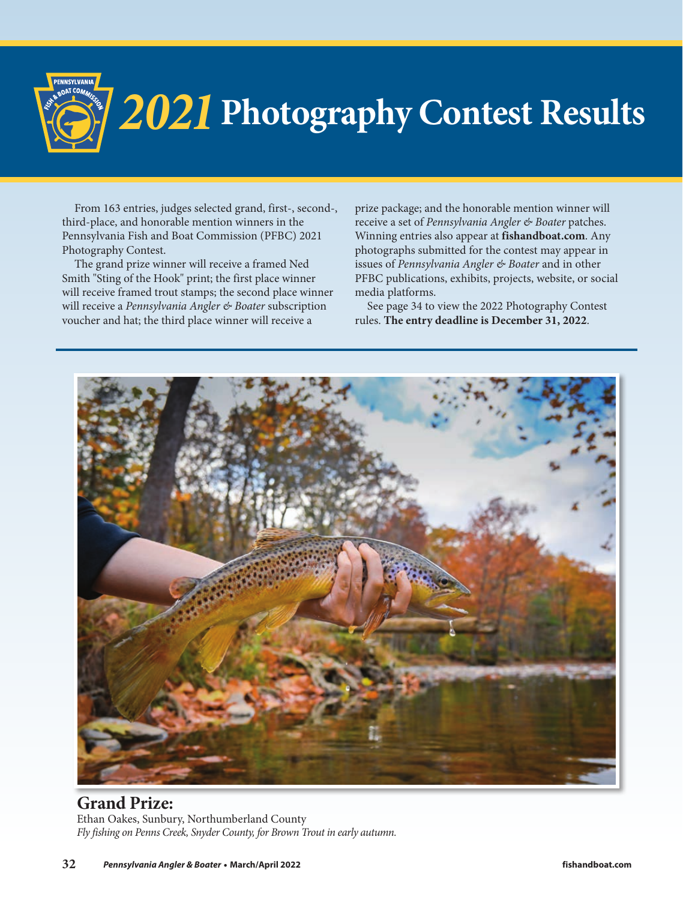

## *2021***Photography Contest Results**

From 163 entries, judges selected grand, first-, second-, third-place, and honorable mention winners in the Pennsylvania Fish and Boat Commission (PFBC) 2021 Photography Contest.

The grand prize winner will receive a framed Ned Smith "Sting of the Hook" print; the first place winner will receive framed trout stamps; the second place winner will receive a *Pennsylvania Angler & Boater* subscription voucher and hat; the third place winner will receive a

prize package; and the honorable mention winner will receive a set of *Pennsylvania Angler & Boater* patches. Winning entries also appear at **fishandboat.com**. Any photographs submitted for the contest may appear in issues of *Pennsylvania Angler & Boater* and in other PFBC publications, exhibits, projects, website, or social media platforms.

See page 34 to view the 2022 Photography Contest rules. **The entry deadline is December 31, 2022**.



**Grand Prize:**  Ethan Oakes, Sunbury, Northumberland County *Fly fishing on Penns Creek, Snyder County, for Brown Trout in early autumn.*